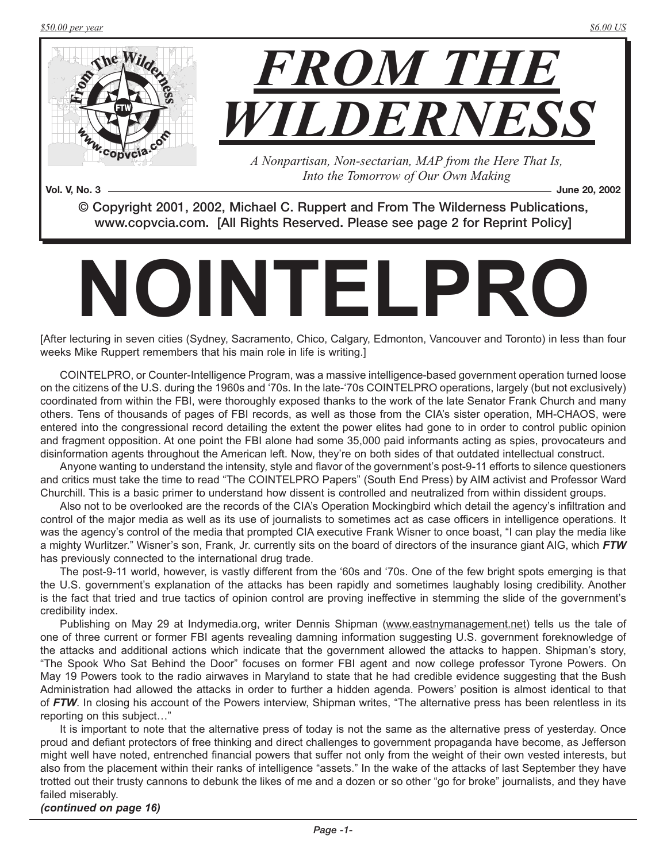

**Vol. V, No. 3 June 20, 2002**

© Copyright 2001, 2002, Michael C. Ruppert and From The Wilderness Publications, www.copvcia.com. [All Rights Reserved. Please see page 2 for Reprint Policy]



[After lecturing in seven cities (Sydney, Sacramento, Chico, Calgary, Edmonton, Vancouver and Toronto) in less than four weeks Mike Ruppert remembers that his main role in life is writing.]

COINTELPRO, or Counter-Intelligence Program, was a massive intelligence-based government operation turned loose on the citizens of the U.S. during the 1960s and '70s. In the late-'70s COINTELPRO operations, largely (but not exclusively) coordinated from within the FBI, were thoroughly exposed thanks to the work of the late Senator Frank Church and many others. Tens of thousands of pages of FBI records, as well as those from the CIA's sister operation, MH-CHAOS, were entered into the congressional record detailing the extent the power elites had gone to in order to control public opinion and fragment opposition. At one point the FBI alone had some 35,000 paid informants acting as spies, provocateurs and disinformation agents throughout the American left. Now, they're on both sides of that outdated intellectual construct.

Anyone wanting to understand the intensity, style and flavor of the government's post-9-11 efforts to silence questioners and critics must take the time to read "The COINTELPRO Papers" (South End Press) by AIM activist and Professor Ward Churchill. This is a basic primer to understand how dissent is controlled and neutralized from within dissident groups.

Also not to be overlooked are the records of the CIA's Operation Mockingbird which detail the agency's infiltration and control of the major media as well as its use of journalists to sometimes act as case officers in intelligence operations. It was the agency's control of the media that prompted CIA executive Frank Wisner to once boast, "I can play the media like a mighty Wurlitzer." Wisner's son, Frank, Jr. currently sits on the board of directors of the insurance giant AIG, which *FTW* has previously connected to the international drug trade.

The post-9-11 world, however, is vastly different from the '60s and '70s. One of the few bright spots emerging is that the U.S. government's explanation of the attacks has been rapidly and sometimes laughably losing credibility. Another is the fact that tried and true tactics of opinion control are proving ineffective in stemming the slide of the government's credibility index.

Publishing on May 29 at Indymedia.org, writer Dennis Shipman ([www.eastnymanagement.net](http://www.eastnymanagement.net)) tells us the tale of one of three current or former FBI agents revealing damning information suggesting U.S. government foreknowledge of the attacks and additional actions which indicate that the government allowed the attacks to happen. Shipman's story, "The Spook Who Sat Behind the Door" focuses on former FBI agent and now college professor Tyrone Powers. On May 19 Powers took to the radio airwaves in Maryland to state that he had credible evidence suggesting that the Bush Administration had allowed the attacks in order to further a hidden agenda. Powers' position is almost identical to that of *FTW*. In closing his account of the Powers interview, Shipman writes, "The alternative press has been relentless in its reporting on this subject…"

It is important to note that the alternative press of today is not the same as the alternative press of yesterday. Once proud and defiant protectors of free thinking and direct challenges to government propaganda have become, as Jefferson might well have noted, entrenched financial powers that suffer not only from the weight of their own vested interests, but also from the placement within their ranks of intelligence "assets." In the wake of the attacks of last September they have trotted out their trusty cannons to debunk the likes of me and a dozen or so other "go for broke" journalists, and they have failed miserably.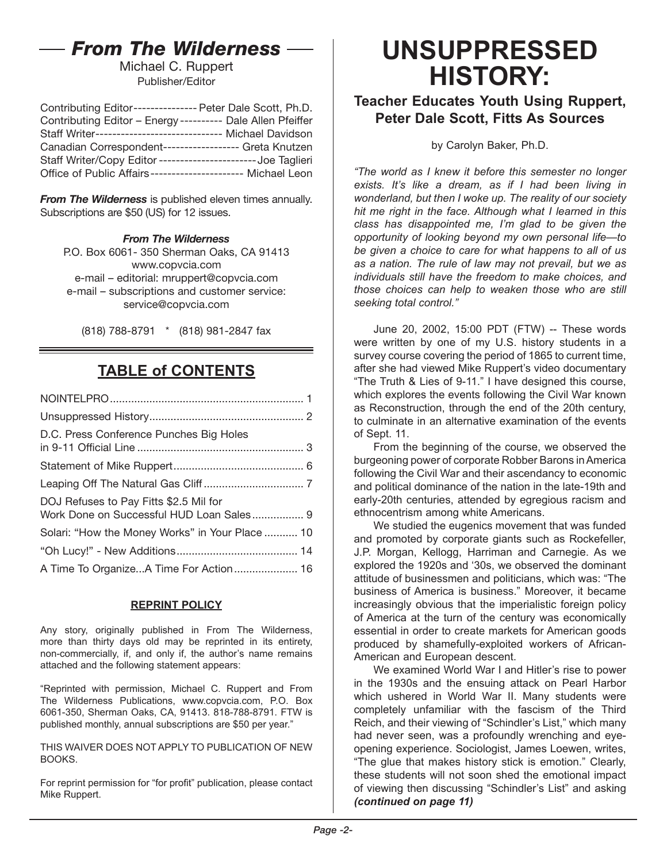## *From The Wilderness*

Michael C. Ruppert Publisher/Editor

| Contributing Editor---------------- Peter Dale Scott, Ph.D.  |
|--------------------------------------------------------------|
| Contributing Editor - Energy ---------- Dale Allen Pfeiffer  |
| Staff Writer----------------------------- Michael Davidson   |
| Canadian Correspondent----------------- Greta Knutzen        |
| Staff Writer/Copy Editor -----------------------Joe Taglieri |
| Office of Public Affairs---------------------- Michael Leon  |

*From The Wilderness* is published eleven times annually. Subscriptions are \$50 (US) for 12 issues.

#### *From The Wilderness*

P.O. Box 6061- 350 Sherman Oaks, CA 91413 [www.copvcia.com](http://www.copvcia.com) e-mail – editorial: mruppert@copvcia.com e-mail – subscriptions and customer service: service@copvcia.com

(818) 788-8791 \* (818) 981-2847 fax

### **TABLE of CONTENTS**

| D.C. Press Conference Punches Big Holes                                            |
|------------------------------------------------------------------------------------|
|                                                                                    |
|                                                                                    |
| DOJ Refuses to Pay Fitts \$2.5 Mil for<br>Work Done on Successful HUD Loan Sales 9 |
| Solari: "How the Money Works" in Your Place  10                                    |
|                                                                                    |
|                                                                                    |

### **REPRINT POLICY**

Any story, originally published in From The Wilderness, more than thirty days old may be reprinted in its entirety, non-commercially, if, and only if, the author's name remains attached and the following statement appears:

"Reprinted with permission, Michael C. Ruppert and From The Wilderness Publications, www.copvcia.com, P.O. Box 6061-350, Sherman Oaks, CA, 91413. 818-788-8791. FTW is published monthly, annual subscriptions are \$50 per year."

THIS WAIVER DOES NOT APPLY TO PUBLICATION OF NEW BOOKS.

For reprint permission for "for profit" publication, please contact Mike Ruppert.

## **UNSUPPRESSED HISTORY:**

### **Teacher Educates Youth Using Ruppert, Peter Dale Scott, Fitts As Sources**

by Carolyn Baker, Ph.D.

*"The world as I knew it before this semester no longer exists. It's like a dream, as if I had been living in wonderland, but then I woke up. The reality of our society hit me right in the face. Although what I learned in this class has disappointed me, I'm glad to be given the opportunity of looking beyond my own personal life—to be given a choice to care for what happens to all of us as a nation. The rule of law may not prevail, but we as individuals still have the freedom to make choices, and those choices can help to weaken those who are still seeking total control."*

June 20, 2002, 15:00 PDT (FTW) -- These words were written by one of my U.S. history students in a survey course covering the period of 1865 to current time, after she had viewed Mike Ruppert's video documentary "The Truth & Lies of 9-11." I have designed this course, which explores the events following the Civil War known as Reconstruction, through the end of the 20th century, to culminate in an alternative examination of the events of Sept. 11.

From the beginning of the course, we observed the burgeoning power of corporate Robber Barons in America following the Civil War and their ascendancy to economic and political dominance of the nation in the late-19th and early-20th centuries, attended by egregious racism and ethnocentrism among white Americans.

We studied the eugenics movement that was funded and promoted by corporate giants such as Rockefeller, J.P. Morgan, Kellogg, Harriman and Carnegie. As we explored the 1920s and '30s, we observed the dominant attitude of businessmen and politicians, which was: "The business of America is business." Moreover, it became increasingly obvious that the imperialistic foreign policy of America at the turn of the century was economically essential in order to create markets for American goods produced by shamefully-exploited workers of African-American and European descent.

We examined World War I and Hitler's rise to power in the 1930s and the ensuing attack on Pearl Harbor which ushered in World War II. Many students were completely unfamiliar with the fascism of the Third Reich, and their viewing of "Schindler's List," which many had never seen, was a profoundly wrenching and eyeopening experience. Sociologist, James Loewen, writes, "The glue that makes history stick is emotion." Clearly, these students will not soon shed the emotional impact of viewing then discussing "Schindler's List" and asking *(continued on page 11)*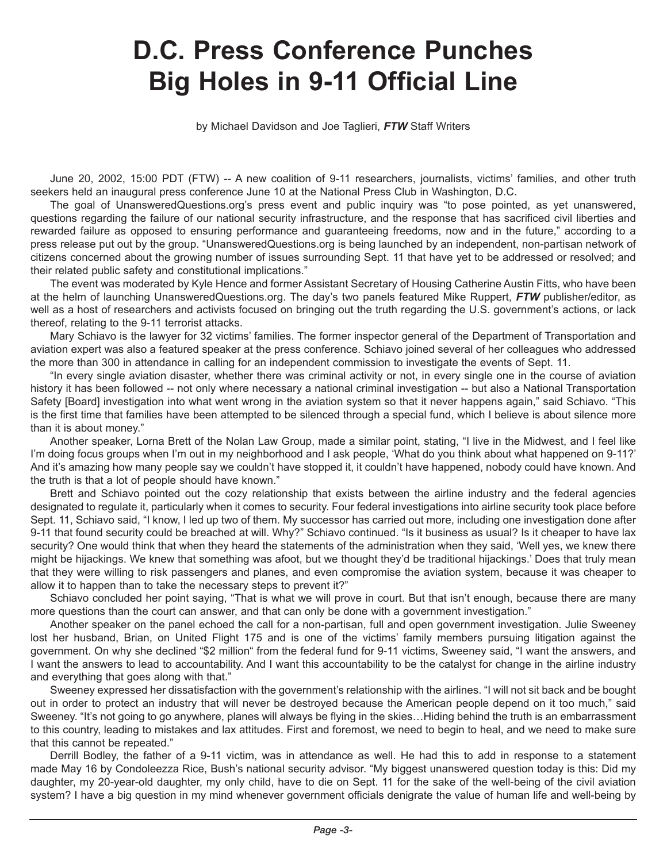# **D.C. Press Conference Punches Big Holes in 9-11 Official Line**

by Michael Davidson and Joe Taglieri, *FTW* Staff Writers

June 20, 2002, 15:00 PDT (FTW) -- A new coalition of 9-11 researchers, journalists, victims' families, and other truth seekers held an inaugural press conference June 10 at the National Press Club in Washington, D.C.

The goal of UnansweredQuestions.org's press event and public inquiry was "to pose pointed, as yet unanswered, questions regarding the failure of our national security infrastructure, and the response that has sacrificed civil liberties and rewarded failure as opposed to ensuring performance and guaranteeing freedoms, now and in the future," according to a press release put out by the group. "UnansweredQuestions.org is being launched by an independent, non-partisan network of citizens concerned about the growing number of issues surrounding Sept. 11 that have yet to be addressed or resolved; and their related public safety and constitutional implications."

The event was moderated by Kyle Hence and former Assistant Secretary of Housing Catherine Austin Fitts, who have been at the helm of launching UnansweredQuestions.org. The day's two panels featured Mike Ruppert, *FTW* publisher/editor, as well as a host of researchers and activists focused on bringing out the truth regarding the U.S. government's actions, or lack thereof, relating to the 9-11 terrorist attacks.

Mary Schiavo is the lawyer for 32 victims' families. The former inspector general of the Department of Transportation and aviation expert was also a featured speaker at the press conference. Schiavo joined several of her colleagues who addressed the more than 300 in attendance in calling for an independent commission to investigate the events of Sept. 11.

"In every single aviation disaster, whether there was criminal activity or not, in every single one in the course of aviation history it has been followed -- not only where necessary a national criminal investigation -- but also a National Transportation Safety [Board] investigation into what went wrong in the aviation system so that it never happens again," said Schiavo. "This is the first time that families have been attempted to be silenced through a special fund, which I believe is about silence more than it is about money."

Another speaker, Lorna Brett of the Nolan Law Group, made a similar point, stating, "I live in the Midwest, and I feel like I'm doing focus groups when I'm out in my neighborhood and I ask people, 'What do you think about what happened on 9-11?' And it's amazing how many people say we couldn't have stopped it, it couldn't have happened, nobody could have known. And the truth is that a lot of people should have known."

Brett and Schiavo pointed out the cozy relationship that exists between the airline industry and the federal agencies designated to regulate it, particularly when it comes to security. Four federal investigations into airline security took place before Sept. 11, Schiavo said, "I know, I led up two of them. My successor has carried out more, including one investigation done after 9-11 that found security could be breached at will. Why?" Schiavo continued. "Is it business as usual? Is it cheaper to have lax security? One would think that when they heard the statements of the administration when they said, 'Well yes, we knew there might be hijackings. We knew that something was afoot, but we thought they'd be traditional hijackings.' Does that truly mean that they were willing to risk passengers and planes, and even compromise the aviation system, because it was cheaper to allow it to happen than to take the necessary steps to prevent it?"

Schiavo concluded her point saying, "That is what we will prove in court. But that isn't enough, because there are many more questions than the court can answer, and that can only be done with a government investigation."

Another speaker on the panel echoed the call for a non-partisan, full and open government investigation. Julie Sweeney lost her husband, Brian, on United Flight 175 and is one of the victims' family members pursuing litigation against the government. On why she declined "\$2 million" from the federal fund for 9-11 victims, Sweeney said, "I want the answers, and I want the answers to lead to accountability. And I want this accountability to be the catalyst for change in the airline industry and everything that goes along with that."

Sweeney expressed her dissatisfaction with the government's relationship with the airlines. "I will not sit back and be bought out in order to protect an industry that will never be destroyed because the American people depend on it too much," said Sweeney. "It's not going to go anywhere, planes will always be flying in the skies...Hiding behind the truth is an embarrassment to this country, leading to mistakes and lax attitudes. First and foremost, we need to begin to heal, and we need to make sure that this cannot be repeated."

Derrill Bodley, the father of a 9-11 victim, was in attendance as well. He had this to add in response to a statement made May 16 by Condoleezza Rice, Bush's national security advisor. "My biggest unanswered question today is this: Did my daughter, my 20-year-old daughter, my only child, have to die on Sept. 11 for the sake of the well-being of the civil aviation system? I have a big question in my mind whenever government officials denigrate the value of human life and well-being by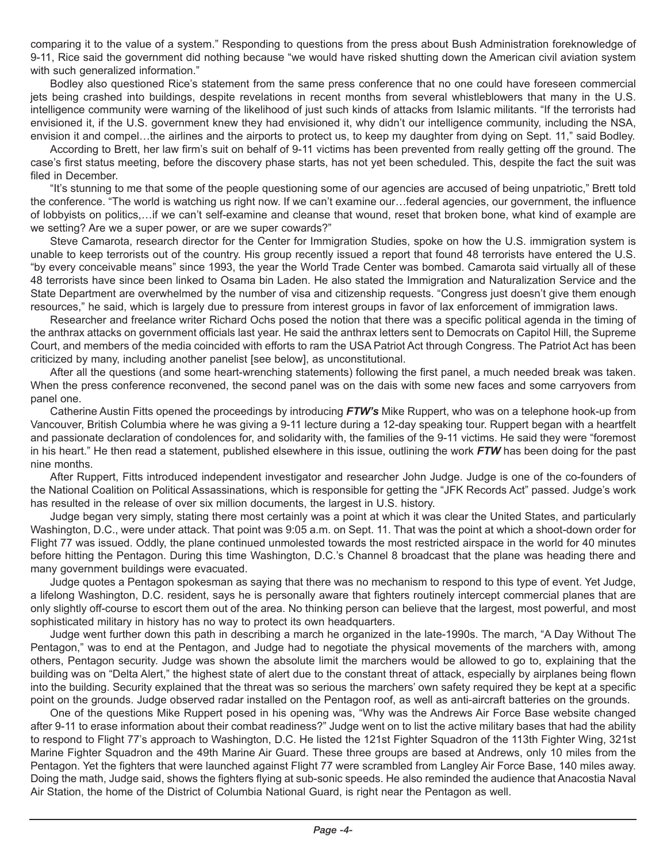comparing it to the value of a system." Responding to questions from the press about Bush Administration foreknowledge of 9-11, Rice said the government did nothing because "we would have risked shutting down the American civil aviation system with such generalized information."

Bodley also questioned Rice's statement from the same press conference that no one could have foreseen commercial jets being crashed into buildings, despite revelations in recent months from several whistleblowers that many in the U.S. intelligence community were warning of the likelihood of just such kinds of attacks from Islamic militants. "If the terrorists had envisioned it, if the U.S. government knew they had envisioned it, why didn't our intelligence community, including the NSA, envision it and compel…the airlines and the airports to protect us, to keep my daughter from dying on Sept. 11," said Bodley.

According to Brett, her law firm's suit on behalf of 9-11 victims has been prevented from really getting off the ground. The case's first status meeting, before the discovery phase starts, has not yet been scheduled. This, despite the fact the suit was filed in December.

"It's stunning to me that some of the people questioning some of our agencies are accused of being unpatriotic," Brett told the conference. "The world is watching us right now. If we can't examine our…federal agencies, our government, the influence of lobbyists on politics,…if we can't self-examine and cleanse that wound, reset that broken bone, what kind of example are we setting? Are we a super power, or are we super cowards?"

Steve Camarota, research director for the Center for Immigration Studies, spoke on how the U.S. immigration system is unable to keep terrorists out of the country. His group recently issued a report that found 48 terrorists have entered the U.S. "by every conceivable means" since 1993, the year the World Trade Center was bombed. Camarota said virtually all of these 48 terrorists have since been linked to Osama bin Laden. He also stated the Immigration and Naturalization Service and the State Department are overwhelmed by the number of visa and citizenship requests. "Congress just doesn't give them enough resources," he said, which is largely due to pressure from interest groups in favor of lax enforcement of immigration laws.

Researcher and freelance writer Richard Ochs posed the notion that there was a specific political agenda in the timing of the anthrax attacks on government officials last year. He said the anthrax letters sent to Democrats on Capitol Hill, the Supreme Court, and members of the media coincided with efforts to ram the USA Patriot Act through Congress. The Patriot Act has been criticized by many, including another panelist [see below], as unconstitutional.

After all the questions (and some heart-wrenching statements) following the first panel, a much needed break was taken. When the press conference reconvened, the second panel was on the dais with some new faces and some carryovers from panel one.

Catherine Austin Fitts opened the proceedings by introducing *FTW's* Mike Ruppert, who was on a telephone hook-up from Vancouver, British Columbia where he was giving a 9-11 lecture during a 12-day speaking tour. Ruppert began with a heartfelt and passionate declaration of condolences for, and solidarity with, the families of the 9-11 victims. He said they were "foremost in his heart." He then read a statement, published elsewhere in this issue, outlining the work *FTW* has been doing for the past nine months.

After Ruppert, Fitts introduced independent investigator and researcher John Judge. Judge is one of the co-founders of the National Coalition on Political Assassinations, which is responsible for getting the "JFK Records Act" passed. Judge's work has resulted in the release of over six million documents, the largest in U.S. history.

Judge began very simply, stating there most certainly was a point at which it was clear the United States, and particularly Washington, D.C., were under attack. That point was 9:05 a.m. on Sept. 11. That was the point at which a shoot-down order for Flight 77 was issued. Oddly, the plane continued unmolested towards the most restricted airspace in the world for 40 minutes before hitting the Pentagon. During this time Washington, D.C.'s Channel 8 broadcast that the plane was heading there and many government buildings were evacuated.

Judge quotes a Pentagon spokesman as saying that there was no mechanism to respond to this type of event. Yet Judge, a lifelong Washington, D.C. resident, says he is personally aware that fighters routinely intercept commercial planes that are only slightly off-course to escort them out of the area. No thinking person can believe that the largest, most powerful, and most sophisticated military in history has no way to protect its own headquarters.

Judge went further down this path in describing a march he organized in the late-1990s. The march, "A Day Without The Pentagon," was to end at the Pentagon, and Judge had to negotiate the physical movements of the marchers with, among others, Pentagon security. Judge was shown the absolute limit the marchers would be allowed to go to, explaining that the building was on "Delta Alert," the highest state of alert due to the constant threat of attack, especially by airplanes being flown into the building. Security explained that the threat was so serious the marchers' own safety required they be kept at a specific point on the grounds. Judge observed radar installed on the Pentagon roof, as well as anti-aircraft batteries on the grounds.

One of the questions Mike Ruppert posed in his opening was, "Why was the Andrews Air Force Base website changed after 9-11 to erase information about their combat readiness?" Judge went on to list the active military bases that had the ability to respond to Flight 77's approach to Washington, D.C. He listed the 121st Fighter Squadron of the 113th Fighter Wing, 321st Marine Fighter Squadron and the 49th Marine Air Guard. These three groups are based at Andrews, only 10 miles from the Pentagon. Yet the fighters that were launched against Flight 77 were scrambled from Langley Air Force Base, 140 miles away. Doing the math, Judge said, shows the fighters flying at sub-sonic speeds. He also reminded the audience that Anacostia Naval Air Station, the home of the District of Columbia National Guard, is right near the Pentagon as well.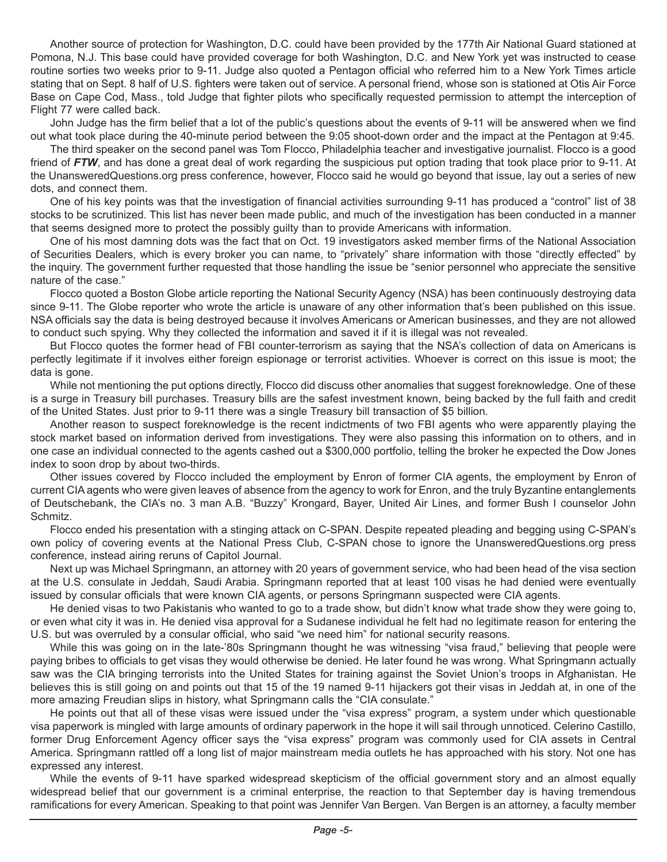Another source of protection for Washington, D.C. could have been provided by the 177th Air National Guard stationed at Pomona, N.J. This base could have provided coverage for both Washington, D.C. and New York yet was instructed to cease routine sorties two weeks prior to 9-11. Judge also quoted a Pentagon official who referred him to a New York Times article stating that on Sept. 8 half of U.S. fighters were taken out of service. A personal friend, whose son is stationed at Otis Air Force Base on Cape Cod, Mass., told Judge that fighter pilots who specifically requested permission to attempt the interception of Flight 77 were called back.

John Judge has the firm belief that a lot of the public's questions about the events of 9-11 will be answered when we find out what took place during the 40-minute period between the 9:05 shoot-down order and the impact at the Pentagon at 9:45.

The third speaker on the second panel was Tom Flocco, Philadelphia teacher and investigative journalist. Flocco is a good friend of *FTW*, and has done a great deal of work regarding the suspicious put option trading that took place prior to 9-11. At the UnansweredQuestions.org press conference, however, Flocco said he would go beyond that issue, lay out a series of new dots, and connect them.

One of his key points was that the investigation of financial activities surrounding 9-11 has produced a "control" list of 38 stocks to be scrutinized. This list has never been made public, and much of the investigation has been conducted in a manner that seems designed more to protect the possibly guilty than to provide Americans with information.

One of his most damning dots was the fact that on Oct. 19 investigators asked member firms of the National Association of Securities Dealers, which is every broker you can name, to "privately" share information with those "directly effected" by the inquiry. The government further requested that those handling the issue be "senior personnel who appreciate the sensitive nature of the case."

Flocco quoted a Boston Globe article reporting the National Security Agency (NSA) has been continuously destroying data since 9-11. The Globe reporter who wrote the article is unaware of any other information that's been published on this issue. NSA officials say the data is being destroyed because it involves Americans or American businesses, and they are not allowed to conduct such spying. Why they collected the information and saved it if it is illegal was not revealed.

But Flocco quotes the former head of FBI counter-terrorism as saying that the NSA's collection of data on Americans is perfectly legitimate if it involves either foreign espionage or terrorist activities. Whoever is correct on this issue is moot; the data is gone.

While not mentioning the put options directly, Flocco did discuss other anomalies that suggest foreknowledge. One of these is a surge in Treasury bill purchases. Treasury bills are the safest investment known, being backed by the full faith and credit of the United States. Just prior to 9-11 there was a single Treasury bill transaction of \$5 billion.

Another reason to suspect foreknowledge is the recent indictments of two FBI agents who were apparently playing the stock market based on information derived from investigations. They were also passing this information on to others, and in one case an individual connected to the agents cashed out a \$300,000 portfolio, telling the broker he expected the Dow Jones index to soon drop by about two-thirds.

Other issues covered by Flocco included the employment by Enron of former CIA agents, the employment by Enron of current CIA agents who were given leaves of absence from the agency to work for Enron, and the truly Byzantine entanglements of Deutschebank, the CIA's no. 3 man A.B. "Buzzy" Krongard, Bayer, United Air Lines, and former Bush I counselor John Schmitz.

Flocco ended his presentation with a stinging attack on C-SPAN. Despite repeated pleading and begging using C-SPAN's own policy of covering events at the National Press Club, C-SPAN chose to ignore the UnansweredQuestions.org press conference, instead airing reruns of Capitol Journal.

Next up was Michael Springmann, an attorney with 20 years of government service, who had been head of the visa section at the U.S. consulate in Jeddah, Saudi Arabia. Springmann reported that at least 100 visas he had denied were eventually issued by consular officials that were known CIA agents, or persons Springmann suspected were CIA agents.

He denied visas to two Pakistanis who wanted to go to a trade show, but didn't know what trade show they were going to, or even what city it was in. He denied visa approval for a Sudanese individual he felt had no legitimate reason for entering the U.S. but was overruled by a consular official, who said "we need him" for national security reasons.

While this was going on in the late-'80s Springmann thought he was witnessing "visa fraud," believing that people were paying bribes to officials to get visas they would otherwise be denied. He later found he was wrong. What Springmann actually saw was the CIA bringing terrorists into the United States for training against the Soviet Union's troops in Afghanistan. He believes this is still going on and points out that 15 of the 19 named 9-11 hijackers got their visas in Jeddah at, in one of the more amazing Freudian slips in history, what Springmann calls the "CIA consulate."

He points out that all of these visas were issued under the "visa express" program, a system under which questionable visa paperwork is mingled with large amounts of ordinary paperwork in the hope it will sail through unnoticed. Celerino Castillo, former Drug Enforcement Agency officer says the "visa express" program was commonly used for CIA assets in Central America. Springmann rattled off a long list of major mainstream media outlets he has approached with his story. Not one has expressed any interest.

While the events of 9-11 have sparked widespread skepticism of the official government story and an almost equally widespread belief that our government is a criminal enterprise, the reaction to that September day is having tremendous ramifications for every American. Speaking to that point was Jennifer Van Bergen. Van Bergen is an attorney, a faculty member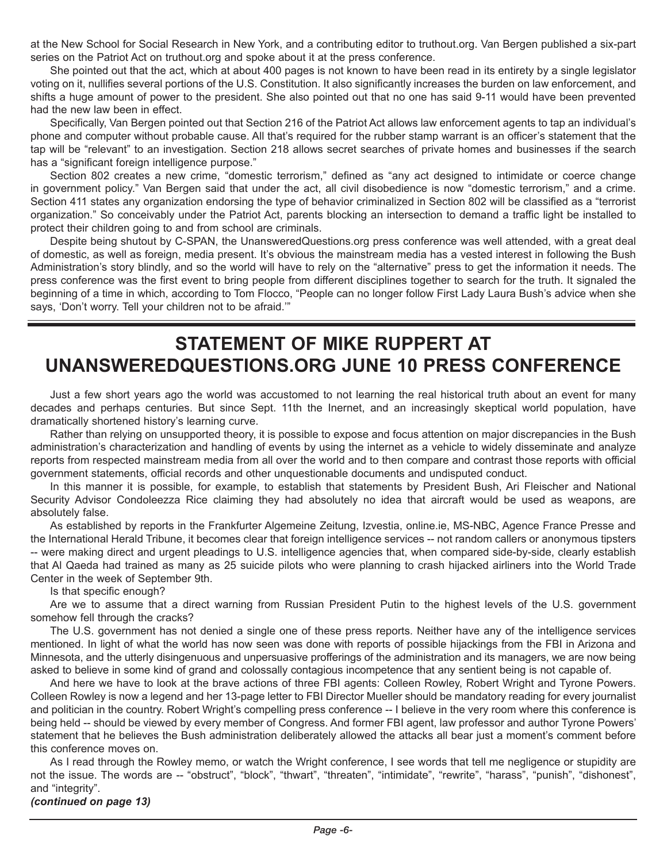at the New School for Social Research in New York, and a contributing editor to truthout.org. Van Bergen published a six-part series on the Patriot Act on truthout.org and spoke about it at the press conference.

She pointed out that the act, which at about 400 pages is not known to have been read in its entirety by a single legislator voting on it, nullifies several portions of the U.S. Constitution. It also significantly increases the burden on law enforcement, and shifts a huge amount of power to the president. She also pointed out that no one has said 9-11 would have been prevented had the new law been in effect.

Specifically, Van Bergen pointed out that Section 216 of the Patriot Act allows law enforcement agents to tap an individual's phone and computer without probable cause. All that's required for the rubber stamp warrant is an officer's statement that the tap will be "relevant" to an investigation. Section 218 allows secret searches of private homes and businesses if the search has a "significant foreign intelligence purpose."

Section 802 creates a new crime, "domestic terrorism," defined as "any act designed to intimidate or coerce change in government policy." Van Bergen said that under the act, all civil disobedience is now "domestic terrorism," and a crime. Section 411 states any organization endorsing the type of behavior criminalized in Section 802 will be classified as a "terrorist organization." So conceivably under the Patriot Act, parents blocking an intersection to demand a traffic light be installed to protect their children going to and from school are criminals.

Despite being shutout by C-SPAN, the UnansweredQuestions.org press conference was well attended, with a great deal of domestic, as well as foreign, media present. It's obvious the mainstream media has a vested interest in following the Bush Administration's story blindly, and so the world will have to rely on the "alternative" press to get the information it needs. The press conference was the first event to bring people from different disciplines together to search for the truth. It signaled the beginning of a time in which, according to Tom Flocco, "People can no longer follow First Lady Laura Bush's advice when she says, 'Don't worry. Tell your children not to be afraid.'"

### **STATEMENT OF MIKE RUPPERT AT UNANSWEREDQUESTIONS.ORG JUNE 10 PRESS CONFERENCE**

Just a few short years ago the world was accustomed to not learning the real historical truth about an event for many decades and perhaps centuries. But since Sept. 11th the Inernet, and an increasingly skeptical world population, have dramatically shortened history's learning curve.

Rather than relying on unsupported theory, it is possible to expose and focus attention on major discrepancies in the Bush administration's characterization and handling of events by using the internet as a vehicle to widely disseminate and analyze reports from respected mainstream media from all over the world and to then compare and contrast those reports with official government statements, official records and other unquestionable documents and undisputed conduct.

In this manner it is possible, for example, to establish that statements by President Bush, Ari Fleischer and National Security Advisor Condoleezza Rice claiming they had absolutely no idea that aircraft would be used as weapons, are absolutely false.

As established by reports in the Frankfurter Algemeine Zeitung, Izvestia, online.ie, MS-NBC, Agence France Presse and the International Herald Tribune, it becomes clear that foreign intelligence services -- not random callers or anonymous tipsters -- were making direct and urgent pleadings to U.S. intelligence agencies that, when compared side-by-side, clearly establish that Al Qaeda had trained as many as 25 suicide pilots who were planning to crash hijacked airliners into the World Trade Center in the week of September 9th.

Is that specific enough?

Are we to assume that a direct warning from Russian President Putin to the highest levels of the U.S. government somehow fell through the cracks?

The U.S. government has not denied a single one of these press reports. Neither have any of the intelligence services mentioned. In light of what the world has now seen was done with reports of possible hijackings from the FBI in Arizona and Minnesota, and the utterly disingenuous and unpersuasive profferings of the administration and its managers, we are now being asked to believe in some kind of grand and colossally contagious incompetence that any sentient being is not capable of.

And here we have to look at the brave actions of three FBI agents: Colleen Rowley, Robert Wright and Tyrone Powers. Colleen Rowley is now a legend and her 13-page letter to FBI Director Mueller should be mandatory reading for every journalist and politician in the country. Robert Wright's compelling press conference -- I believe in the very room where this conference is being held -- should be viewed by every member of Congress. And former FBI agent, law professor and author Tyrone Powers' statement that he believes the Bush administration deliberately allowed the attacks all bear just a moment's comment before this conference moves on.

As I read through the Rowley memo, or watch the Wright conference, I see words that tell me negligence or stupidity are not the issue. The words are -- "obstruct", "block", "thwart", "threaten", "intimidate", "rewrite", "harass", "punish", "dishonest", and "integrity".

*(continued on page 13)*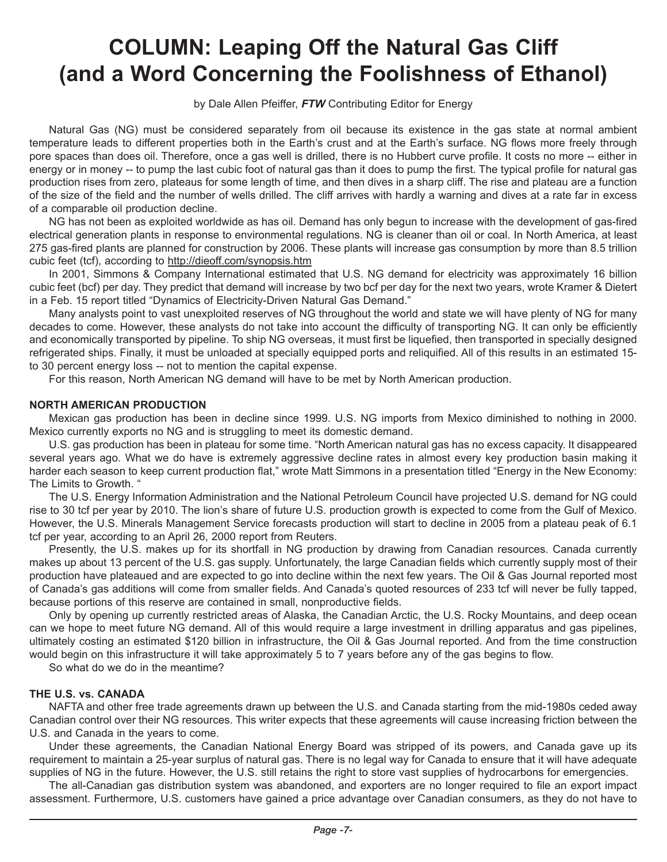## **COLUMN: Leaping Off the Natural Gas Cliff (and a Word Concerning the Foolishness of Ethanol)**

by Dale Allen Pfeiffer, *FTW* Contributing Editor for Energy

Natural Gas (NG) must be considered separately from oil because its existence in the gas state at normal ambient temperature leads to different properties both in the Earth's crust and at the Earth's surface. NG flows more freely through pore spaces than does oil. Therefore, once a gas well is drilled, there is no Hubbert curve profile. It costs no more -- either in energy or in money -- to pump the last cubic foot of natural gas than it does to pump the first. The typical profile for natural gas production rises from zero, plateaus for some length of time, and then dives in a sharp cliff. The rise and plateau are a function of the size of the field and the number of wells drilled. The cliff arrives with hardly a warning and dives at a rate far in excess of a comparable oil production decline.

NG has not been as exploited worldwide as has oil. Demand has only begun to increase with the development of gas-fired electrical generation plants in response to environmental regulations. NG is cleaner than oil or coal. In North America, at least 275 gas-fired plants are planned for construction by 2006. These plants will increase gas consumption by more than 8.5 trillion cubic feet (tcf), according to <http://dieoff.com/synopsis.htm>

In 2001, Simmons & Company International estimated that U.S. NG demand for electricity was approximately 16 billion cubic feet (bcf) per day. They predict that demand will increase by two bcf per day for the next two years, wrote Kramer & Dietert in a Feb. 15 report titled "Dynamics of Electricity-Driven Natural Gas Demand."

Many analysts point to vast unexploited reserves of NG throughout the world and state we will have plenty of NG for many decades to come. However, these analysts do not take into account the difficulty of transporting NG. It can only be efficiently and economically transported by pipeline. To ship NG overseas, it must first be liquefied, then transported in specially designed refrigerated ships. Finally, it must be unloaded at specially equipped ports and reliquified. All of this results in an estimated 15 to 30 percent energy loss -- not to mention the capital expense.

For this reason, North American NG demand will have to be met by North American production.

#### **NORTH AMERICAN PRODUCTION**

Mexican gas production has been in decline since 1999. U.S. NG imports from Mexico diminished to nothing in 2000. Mexico currently exports no NG and is struggling to meet its domestic demand.

U.S. gas production has been in plateau for some time. "North American natural gas has no excess capacity. It disappeared several years ago. What we do have is extremely aggressive decline rates in almost every key production basin making it harder each season to keep current production flat," wrote Matt Simmons in a presentation titled "Energy in the New Economy: The Limits to Growth. "

The U.S. Energy Information Administration and the National Petroleum Council have projected U.S. demand for NG could rise to 30 tcf per year by 2010. The lion's share of future U.S. production growth is expected to come from the Gulf of Mexico. However, the U.S. Minerals Management Service forecasts production will start to decline in 2005 from a plateau peak of 6.1 tcf per year, according to an April 26, 2000 report from Reuters.

Presently, the U.S. makes up for its shortfall in NG production by drawing from Canadian resources. Canada currently makes up about 13 percent of the U.S. gas supply. Unfortunately, the large Canadian fields which currently supply most of their production have plateaued and are expected to go into decline within the next few years. The Oil & Gas Journal reported most of Canada's gas additions will come from smaller fields. And Canada's quoted resources of 233 tcf will never be fully tapped, because portions of this reserve are contained in small, nonproductive fields.

Only by opening up currently restricted areas of Alaska, the Canadian Arctic, the U.S. Rocky Mountains, and deep ocean can we hope to meet future NG demand. All of this would require a large investment in drilling apparatus and gas pipelines, ultimately costing an estimated \$120 billion in infrastructure, the Oil & Gas Journal reported. And from the time construction would begin on this infrastructure it will take approximately 5 to 7 years before any of the gas begins to flow.

So what do we do in the meantime?

#### **THE U.S. vs. CANADA**

NAFTA and other free trade agreements drawn up between the U.S. and Canada starting from the mid-1980s ceded away Canadian control over their NG resources. This writer expects that these agreements will cause increasing friction between the U.S. and Canada in the years to come.

Under these agreements, the Canadian National Energy Board was stripped of its powers, and Canada gave up its requirement to maintain a 25-year surplus of natural gas. There is no legal way for Canada to ensure that it will have adequate supplies of NG in the future. However, the U.S. still retains the right to store vast supplies of hydrocarbons for emergencies.

The all-Canadian gas distribution system was abandoned, and exporters are no longer required to file an export impact assessment. Furthermore, U.S. customers have gained a price advantage over Canadian consumers, as they do not have to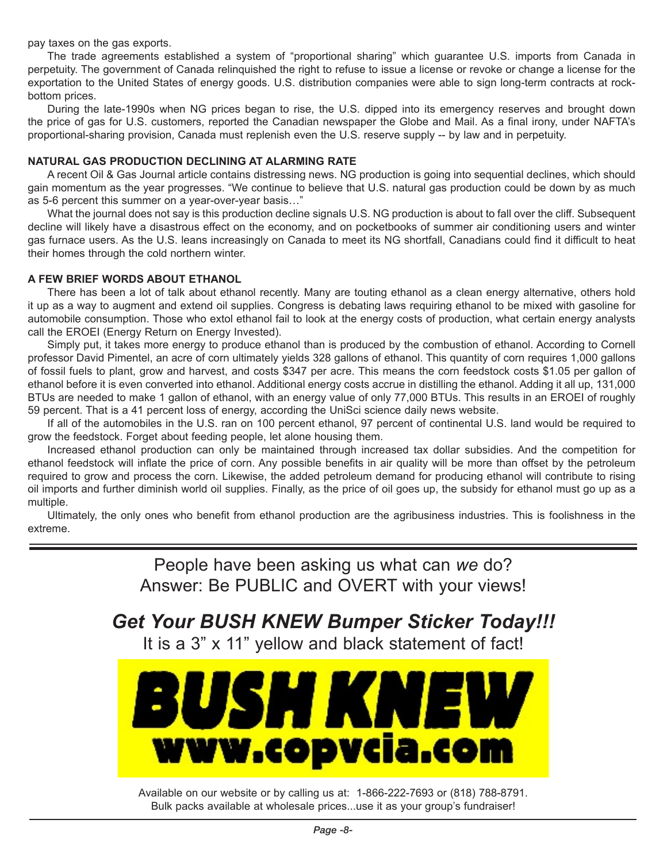pay taxes on the gas exports.

The trade agreements established a system of "proportional sharing" which guarantee U.S. imports from Canada in perpetuity. The government of Canada relinquished the right to refuse to issue a license or revoke or change a license for the exportation to the United States of energy goods. U.S. distribution companies were able to sign long-term contracts at rockbottom prices.

During the late-1990s when NG prices began to rise, the U.S. dipped into its emergency reserves and brought down the price of gas for U.S. customers, reported the Canadian newspaper the Globe and Mail. As a final irony, under NAFTA's proportional-sharing provision, Canada must replenish even the U.S. reserve supply -- by law and in perpetuity.

#### **NATURAL GAS PRODUCTION DECLINING AT ALARMING RATE**

A recent Oil & Gas Journal article contains distressing news. NG production is going into sequential declines, which should gain momentum as the year progresses. "We continue to believe that U.S. natural gas production could be down by as much as 5-6 percent this summer on a year-over-year basis…"

What the journal does not say is this production decline signals U.S. NG production is about to fall over the cliff. Subsequent decline will likely have a disastrous effect on the economy, and on pocketbooks of summer air conditioning users and winter gas furnace users. As the U.S. leans increasingly on Canada to meet its NG shortfall, Canadians could find it difficult to heat their homes through the cold northern winter.

#### **A FEW BRIEF WORDS ABOUT ETHANOL**

There has been a lot of talk about ethanol recently. Many are touting ethanol as a clean energy alternative, others hold it up as a way to augment and extend oil supplies. Congress is debating laws requiring ethanol to be mixed with gasoline for automobile consumption. Those who extol ethanol fail to look at the energy costs of production, what certain energy analysts call the EROEI (Energy Return on Energy Invested).

Simply put, it takes more energy to produce ethanol than is produced by the combustion of ethanol. According to Cornell professor David Pimentel, an acre of corn ultimately yields 328 gallons of ethanol. This quantity of corn requires 1,000 gallons of fossil fuels to plant, grow and harvest, and costs \$347 per acre. This means the corn feedstock costs \$1.05 per gallon of ethanol before it is even converted into ethanol. Additional energy costs accrue in distilling the ethanol. Adding it all up, 131,000 BTUs are needed to make 1 gallon of ethanol, with an energy value of only 77,000 BTUs. This results in an EROEI of roughly 59 percent. That is a 41 percent loss of energy, according the UniSci science daily news website.

If all of the automobiles in the U.S. ran on 100 percent ethanol, 97 percent of continental U.S. land would be required to grow the feedstock. Forget about feeding people, let alone housing them.

Increased ethanol production can only be maintained through increased tax dollar subsidies. And the competition for ethanol feedstock will inflate the price of corn. Any possible benefits in air quality will be more than offset by the petroleum required to grow and process the corn. Likewise, the added petroleum demand for producing ethanol will contribute to rising oil imports and further diminish world oil supplies. Finally, as the price of oil goes up, the subsidy for ethanol must go up as a multiple.

Ultimately, the only ones who benefit from ethanol production are the agribusiness industries. This is foolishness in the extreme.

> People have been asking us what can *we* do? Answer: Be PUBLIC and OVERT with your views!

*Get Your BUSH KNEW Bumper Sticker Today!!!*

It is a 3" x 11" yellow and black statement of fact!



Available on our website or by calling us at: 1-866-222-7693 or (818) 788-8791. Bulk packs available at wholesale prices...use it as your group's fundraiser!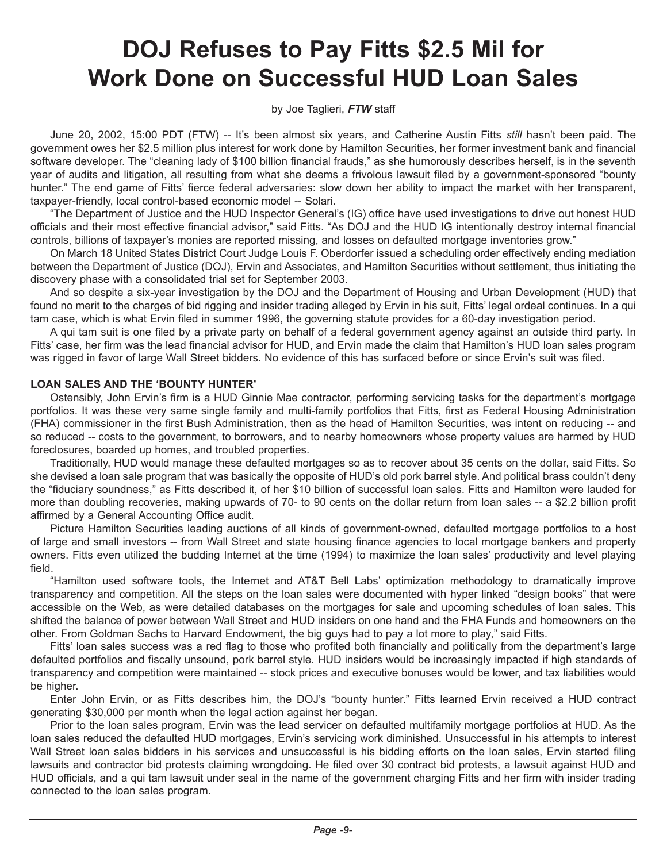## **DOJ Refuses to Pay Fitts \$2.5 Mil for Work Done on Successful HUD Loan Sales**

by Joe Taglieri, *FTW* staff

June 20, 2002, 15:00 PDT (FTW) -- It's been almost six years, and Catherine Austin Fitts *still* hasn't been paid. The government owes her \$2.5 million plus interest for work done by Hamilton Securities, her former investment bank and financial software developer. The "cleaning lady of \$100 billion financial frauds," as she humorously describes herself, is in the seventh year of audits and litigation, all resulting from what she deems a frivolous lawsuit filed by a government-sponsored "bounty hunter." The end game of Fitts' fierce federal adversaries: slow down her ability to impact the market with her transparent, taxpayer-friendly, local control-based economic model -- Solari.

"The Department of Justice and the HUD Inspector General's (IG) office have used investigations to drive out honest HUD officials and their most effective financial advisor," said Fitts. "As DOJ and the HUD IG intentionally destroy internal financial controls, billions of taxpayer's monies are reported missing, and losses on defaulted mortgage inventories grow."

On March 18 United States District Court Judge Louis F. Oberdorfer issued a scheduling order effectively ending mediation between the Department of Justice (DOJ), Ervin and Associates, and Hamilton Securities without settlement, thus initiating the discovery phase with a consolidated trial set for September 2003.

And so despite a six-year investigation by the DOJ and the Department of Housing and Urban Development (HUD) that found no merit to the charges of bid rigging and insider trading alleged by Ervin in his suit, Fitts' legal ordeal continues. In a qui tam case, which is what Ervin filed in summer 1996, the governing statute provides for a 60-day investigation period.

A qui tam suit is one filed by a private party on behalf of a federal government agency against an outside third party. In Fitts' case, her firm was the lead financial advisor for HUD, and Ervin made the claim that Hamilton's HUD loan sales program was rigged in favor of large Wall Street bidders. No evidence of this has surfaced before or since Ervin's suit was filed.

#### **LOAN SALES AND THE 'BOUNTY HUNTER'**

Ostensibly, John Ervin's firm is a HUD Ginnie Mae contractor, performing servicing tasks for the department's mortgage portfolios. It was these very same single family and multi-family portfolios that Fitts, first as Federal Housing Administration (FHA) commissioner in the first Bush Administration, then as the head of Hamilton Securities, was intent on reducing -- and so reduced -- costs to the government, to borrowers, and to nearby homeowners whose property values are harmed by HUD foreclosures, boarded up homes, and troubled properties.

Traditionally, HUD would manage these defaulted mortgages so as to recover about 35 cents on the dollar, said Fitts. So she devised a loan sale program that was basically the opposite of HUD's old pork barrel style. And political brass couldn't deny the "fiduciary soundness," as Fitts described it, of her \$10 billion of successful loan sales. Fitts and Hamilton were lauded for more than doubling recoveries, making upwards of 70- to 90 cents on the dollar return from loan sales -- a \$2.2 billion profit affirmed by a General Accounting Office audit.

Picture Hamilton Securities leading auctions of all kinds of government-owned, defaulted mortgage portfolios to a host of large and small investors -- from Wall Street and state housing finance agencies to local mortgage bankers and property owners. Fitts even utilized the budding Internet at the time (1994) to maximize the loan sales' productivity and level playing field.

"Hamilton used software tools, the Internet and AT&T Bell Labs' optimization methodology to dramatically improve transparency and competition. All the steps on the loan sales were documented with hyper linked "design books" that were accessible on the Web, as were detailed databases on the mortgages for sale and upcoming schedules of loan sales. This shifted the balance of power between Wall Street and HUD insiders on one hand and the FHA Funds and homeowners on the other. From Goldman Sachs to Harvard Endowment, the big guys had to pay a lot more to play," said Fitts.

Fitts' loan sales success was a red flag to those who profited both financially and politically from the department's large defaulted portfolios and fiscally unsound, pork barrel style. HUD insiders would be increasingly impacted if high standards of transparency and competition were maintained -- stock prices and executive bonuses would be lower, and tax liabilities would be higher.

Enter John Ervin, or as Fitts describes him, the DOJ's "bounty hunter." Fitts learned Ervin received a HUD contract generating \$30,000 per month when the legal action against her began.

Prior to the loan sales program, Ervin was the lead servicer on defaulted multifamily mortgage portfolios at HUD. As the loan sales reduced the defaulted HUD mortgages, Ervin's servicing work diminished. Unsuccessful in his attempts to interest Wall Street loan sales bidders in his services and unsuccessful is his bidding efforts on the loan sales, Ervin started filing lawsuits and contractor bid protests claiming wrongdoing. He filed over 30 contract bid protests, a lawsuit against HUD and HUD officials, and a qui tam lawsuit under seal in the name of the government charging Fitts and her firm with insider trading connected to the loan sales program.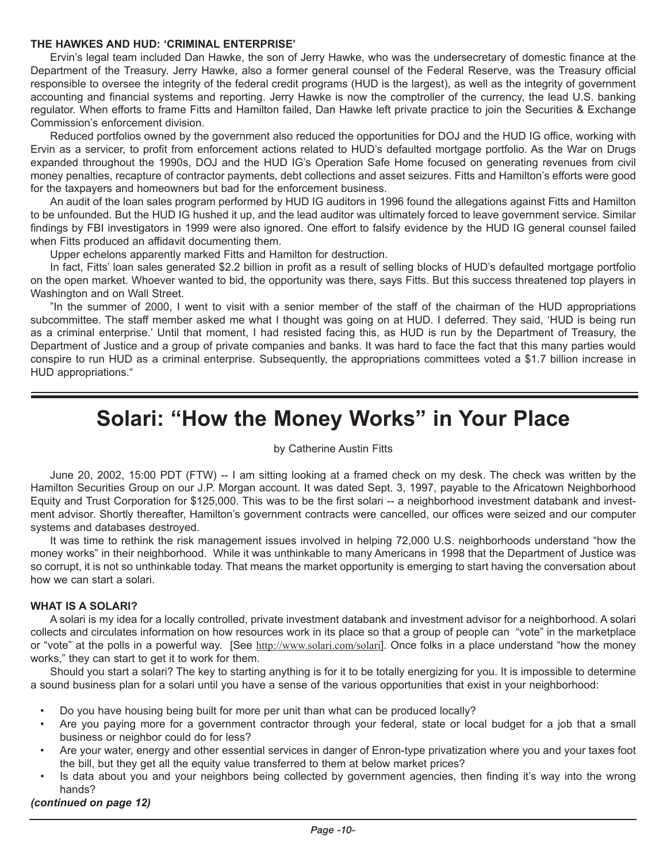#### **THE HAWKES AND HUD: 'CRIMINAL ENTERPRISE'**

Ervin's legal team included Dan Hawke, the son of Jerry Hawke, who was the undersecretary of domestic finance at the Department of the Treasury. Jerry Hawke, also a former general counsel of the Federal Reserve, was the Treasury official responsible to oversee the integrity of the federal credit programs (HUD is the largest), as well as the integrity of government accounting and financial systems and reporting. Jerry Hawke is now the comptroller of the currency, the lead U.S. banking regulator. When efforts to frame Fitts and Hamilton failed, Dan Hawke left private practice to join the Securities & Exchange Commission's enforcement division.

Reduced portfolios owned by the government also reduced the opportunities for DOJ and the HUD IG office, working with Ervin as a servicer, to profit from enforcement actions related to HUD's defaulted mortgage portfolio. As the War on Drugs expanded throughout the 1990s, DOJ and the HUD IG's Operation Safe Home focused on generating revenues from civil money penalties, recapture of contractor payments, debt collections and asset seizures. Fitts and Hamilton's efforts were good for the taxpayers and homeowners but bad for the enforcement business.

An audit of the loan sales program performed by HUD IG auditors in 1996 found the allegations against Fitts and Hamilton to be unfounded. But the HUD IG hushed it up, and the lead auditor was ultimately forced to leave government service. Similar findings by FBI investigators in 1999 were also ignored. One effort to falsify evidence by the HUD IG general counsel failed when Fitts produced an affidavit documenting them.

Upper echelons apparently marked Fitts and Hamilton for destruction.

In fact, Fitts' loan sales generated \$2.2 billion in profit as a result of selling blocks of HUD's defaulted mortgage portfolio on the open market. Whoever wanted to bid, the opportunity was there, says Fitts. But this success threatened top players in Washington and on Wall Street.

"In the summer of 2000, I went to visit with a senior member of the staff of the chairman of the HUD appropriations subcommittee. The staff member asked me what I thought was going on at HUD. I deferred. They said, 'HUD is being run as a criminal enterprise.' Until that moment, I had resisted facing this, as HUD is run by the Department of Treasury, the Department of Justice and a group of private companies and banks. It was hard to face the fact that this many parties would conspire to run HUD as a criminal enterprise. Subsequently, the appropriations committees voted a \$1.7 billion increase in HUD appropriations."

### **Solari: "How the Money Works" in Your Place**

#### by Catherine Austin Fitts

June 20, 2002, 15:00 PDT (FTW) -- I am sitting looking at a framed check on my desk. The check was written by the Hamilton Securities Group on our J.P. Morgan account. It was dated Sept. 3, 1997, payable to the Africatown Neighborhood Equity and Trust Corporation for \$125,000. This was to be the first solari -- a neighborhood investment databank and investment advisor. Shortly thereafter, Hamilton's government contracts were cancelled, our offices were seized and our computer systems and databases destroyed.

It was time to rethink the risk management issues involved in helping 72,000 U.S. neighborhoods understand "how the money works" in their neighborhood. While it was unthinkable to many Americans in 1998 that the Department of Justice was so corrupt, it is not so unthinkable today. That means the market opportunity is emerging to start having the conversation about how we can start a solari.

#### **WHAT IS A SOLARI?**

A solari is my idea for a locally controlled, private investment databank and investment advisor for a neighborhood. A solari collects and circulates information on how resources work in its place so that a group of people can "vote" in the marketplace or "vote" at the polls in a powerful way. [See <http://www.solari.com/solari>]. Once folks in a place understand "how the money works," they can start to get it to work for them.

Should you start a solari? The key to starting anything is for it to be totally energizing for you. It is impossible to determine a sound business plan for a solari until you have a sense of the various opportunities that exist in your neighborhood:

- Do you have housing being built for more per unit than what can be produced locally?
- Are you paying more for a government contractor through your federal, state or local budget for a job that a small business or neighbor could do for less?
- Are your water, energy and other essential services in danger of Enron-type privatization where you and your taxes foot the bill, but they get all the equity value transferred to them at below market prices?
- Is data about you and your neighbors being collected by government agencies, then finding it's way into the wrong hands?

#### *(continued on page 12)*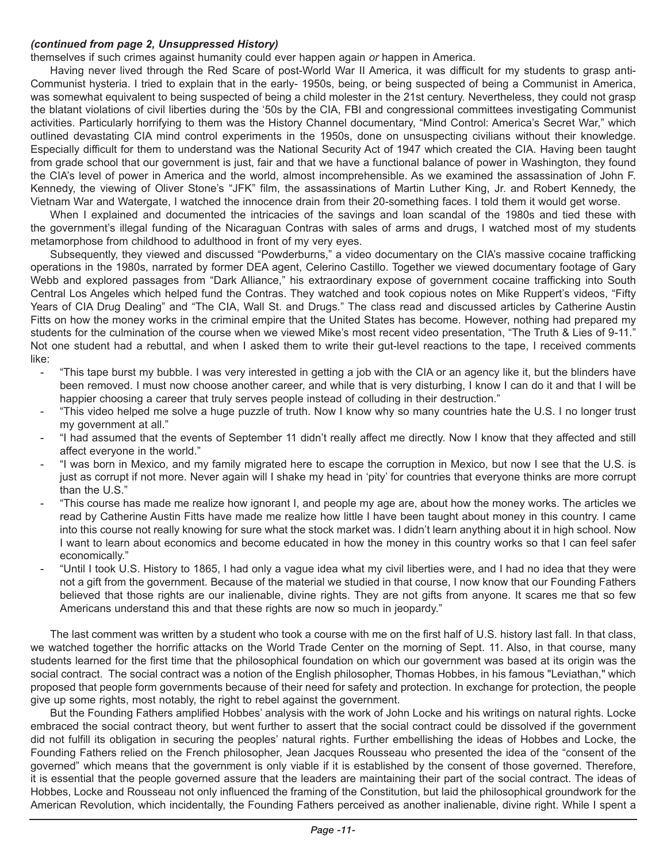#### *(continued from page 2, Unsuppressed History)*

themselves if such crimes against humanity could ever happen again *or* happen in America.

Having never lived through the Red Scare of post-World War II America, it was difficult for my students to grasp anti-Communist hysteria. I tried to explain that in the early- 1950s, being, or being suspected of being a Communist in America, was somewhat equivalent to being suspected of being a child molester in the 21st century. Nevertheless, they could not grasp the blatant violations of civil liberties during the '50s by the CIA, FBI and congressional committees investigating Communist activities. Particularly horrifying to them was the History Channel documentary, "Mind Control: America's Secret War," which outlined devastating CIA mind control experiments in the 1950s, done on unsuspecting civilians without their knowledge. Especially difficult for them to understand was the National Security Act of 1947 which created the CIA. Having been taught from grade school that our government is just, fair and that we have a functional balance of power in Washington, they found the CIA's level of power in America and the world, almost incomprehensible. As we examined the assassination of John F. Kennedy, the viewing of Oliver Stone's "JFK" film, the assassinations of Martin Luther King, Jr. and Robert Kennedy, the Vietnam War and Watergate, I watched the innocence drain from their 20-something faces. I told them it would get worse.

When I explained and documented the intricacies of the savings and loan scandal of the 1980s and tied these with the government's illegal funding of the Nicaraguan Contras with sales of arms and drugs, I watched most of my students metamorphose from childhood to adulthood in front of my very eyes.

Subsequently, they viewed and discussed "Powderburns," a video documentary on the CIA's massive cocaine trafficking operations in the 1980s, narrated by former DEA agent, Celerino Castillo. Together we viewed documentary footage of Gary Webb and explored passages from "Dark Alliance," his extraordinary expose of government cocaine trafficking into South Central Los Angeles which helped fund the Contras. They watched and took copious notes on Mike Ruppert's videos, "Fifty Years of CIA Drug Dealing" and "The CIA, Wall St. and Drugs." The class read and discussed articles by Catherine Austin Fitts on how the money works in the criminal empire that the United States has become. However, nothing had prepared my students for the culmination of the course when we viewed Mike's most recent video presentation, "The Truth & Lies of 9-11." Not one student had a rebuttal, and when I asked them to write their gut-level reactions to the tape, I received comments like:

- "This tape burst my bubble. I was very interested in getting a job with the CIA or an agency like it, but the blinders have been removed. I must now choose another career, and while that is very disturbing, I know I can do it and that I will be happier choosing a career that truly serves people instead of colluding in their destruction."
- "This video helped me solve a huge puzzle of truth. Now I know why so many countries hate the U.S. I no longer trust my government at all."
- "I had assumed that the events of September 11 didn't really affect me directly. Now I know that they affected and still affect everyone in the world."
- "I was born in Mexico, and my family migrated here to escape the corruption in Mexico, but now I see that the U.S. is just as corrupt if not more. Never again will I shake my head in 'pity' for countries that everyone thinks are more corrupt than the U.S."
- "This course has made me realize how ignorant I, and people my age are, about how the money works. The articles we read by Catherine Austin Fitts have made me realize how little I have been taught about money in this country. I came into this course not really knowing for sure what the stock market was. I didn't learn anything about it in high school. Now I want to learn about economics and become educated in how the money in this country works so that I can feel safer economically."
- "Until I took U.S. History to 1865, I had only a vague idea what my civil liberties were, and I had no idea that they were not a gift from the government. Because of the material we studied in that course, I now know that our Founding Fathers believed that those rights are our inalienable, divine rights. They are not gifts from anyone. It scares me that so few Americans understand this and that these rights are now so much in jeopardy."

The last comment was written by a student who took a course with me on the first half of U.S. history last fall. In that class, we watched together the horrific attacks on the World Trade Center on the morning of Sept. 11. Also, in that course, many students learned for the first time that the philosophical foundation on which our government was based at its origin was the social contract. The social contract was a notion of the English philosopher, Thomas Hobbes, in his famous "Leviathan," which proposed that people form governments because of their need for safety and protection. In exchange for protection, the people give up some rights, most notably, the right to rebel against the government.

But the Founding Fathers amplified Hobbes' analysis with the work of John Locke and his writings on natural rights. Locke embraced the social contract theory, but went further to assert that the social contract could be dissolved if the government did not fulfill its obligation in securing the peoples' natural rights. Further embellishing the ideas of Hobbes and Locke, the Founding Fathers relied on the French philosopher, Jean Jacques Rousseau who presented the idea of the "consent of the governed" which means that the government is only viable if it is established by the consent of those governed. Therefore, it is essential that the people governed assure that the leaders are maintaining their part of the social contract. The ideas of Hobbes, Locke and Rousseau not only influenced the framing of the Constitution, but laid the philosophical groundwork for the American Revolution, which incidentally, the Founding Fathers perceived as another inalienable, divine right. While I spent a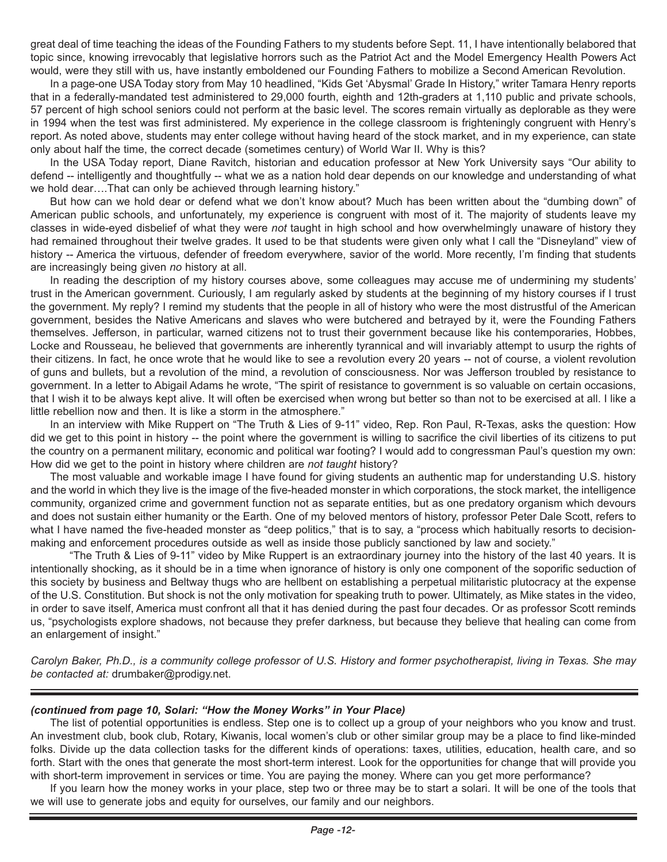great deal of time teaching the ideas of the Founding Fathers to my students before Sept. 11, I have intentionally belabored that topic since, knowing irrevocably that legislative horrors such as the Patriot Act and the Model Emergency Health Powers Act would, were they still with us, have instantly emboldened our Founding Fathers to mobilize a Second American Revolution.

In a page-one USA Today story from May 10 headlined, "Kids Get 'Abysmal' Grade In History," writer Tamara Henry reports that in a federally-mandated test administered to 29,000 fourth, eighth and 12th-graders at 1,110 public and private schools, 57 percent of high school seniors could not perform at the basic level. The scores remain virtually as deplorable as they were in 1994 when the test was first administered. My experience in the college classroom is frighteningly congruent with Henry's report. As noted above, students may enter college without having heard of the stock market, and in my experience, can state only about half the time, the correct decade (sometimes century) of World War II. Why is this?

In the USA Today report, Diane Ravitch, historian and education professor at New York University says "Our ability to defend -- intelligently and thoughtfully -- what we as a nation hold dear depends on our knowledge and understanding of what we hold dear….That can only be achieved through learning history."

But how can we hold dear or defend what we don't know about? Much has been written about the "dumbing down" of American public schools, and unfortunately, my experience is congruent with most of it. The majority of students leave my classes in wide-eyed disbelief of what they were *not* taught in high school and how overwhelmingly unaware of history they had remained throughout their twelve grades. It used to be that students were given only what I call the "Disneyland" view of history -- America the virtuous, defender of freedom everywhere, savior of the world. More recently, I'm finding that students are increasingly being given *no* history at all.

In reading the description of my history courses above, some colleagues may accuse me of undermining my students' trust in the American government. Curiously, I am regularly asked by students at the beginning of my history courses if I trust the government. My reply? I remind my students that the people in all of history who were the most distrustful of the American government, besides the Native Americans and slaves who were butchered and betrayed by it, were the Founding Fathers themselves. Jefferson, in particular, warned citizens not to trust their government because like his contemporaries, Hobbes, Locke and Rousseau, he believed that governments are inherently tyrannical and will invariably attempt to usurp the rights of their citizens. In fact, he once wrote that he would like to see a revolution every 20 years -- not of course, a violent revolution of guns and bullets, but a revolution of the mind, a revolution of consciousness. Nor was Jefferson troubled by resistance to government. In a letter to Abigail Adams he wrote, "The spirit of resistance to government is so valuable on certain occasions, that I wish it to be always kept alive. It will often be exercised when wrong but better so than not to be exercised at all. I like a little rebellion now and then. It is like a storm in the atmosphere."

In an interview with Mike Ruppert on "The Truth & Lies of 9-11" video, Rep. Ron Paul, R-Texas, asks the question: How did we get to this point in history -- the point where the government is willing to sacrifice the civil liberties of its citizens to put the country on a permanent military, economic and political war footing? I would add to congressman Paul's question my own: How did we get to the point in history where children are *not taught* history?

The most valuable and workable image I have found for giving students an authentic map for understanding U.S. history and the world in which they live is the image of the five-headed monster in which corporations, the stock market, the intelligence community, organized crime and government function not as separate entities, but as one predatory organism which devours and does not sustain either humanity or the Earth. One of my beloved mentors of history, professor Peter Dale Scott, refers to what I have named the five-headed monster as "deep politics," that is to say, a "process which habitually resorts to decisionmaking and enforcement procedures outside as well as inside those publicly sanctioned by law and society."

"The Truth & Lies of 9-11" video by Mike Ruppert is an extraordinary journey into the history of the last 40 years. It is intentionally shocking, as it should be in a time when ignorance of history is only one component of the soporific seduction of this society by business and Beltway thugs who are hellbent on establishing a perpetual militaristic plutocracy at the expense of the U.S. Constitution. But shock is not the only motivation for speaking truth to power. Ultimately, as Mike states in the video, in order to save itself, America must confront all that it has denied during the past four decades. Or as professor Scott reminds us, "psychologists explore shadows, not because they prefer darkness, but because they believe that healing can come from an enlargement of insight."

*Carolyn Baker, Ph.D., is a community college professor of U.S. History and former psychotherapist, living in Texas. She may be contacted at:* drumbaker@prodigy.net.

#### *(continued from page 10, Solari: "How the Money Works" in Your Place)*

The list of potential opportunities is endless. Step one is to collect up a group of your neighbors who you know and trust. An investment club, book club, Rotary, Kiwanis, local women's club or other similar group may be a place to find like-minded folks. Divide up the data collection tasks for the different kinds of operations: taxes, utilities, education, health care, and so forth. Start with the ones that generate the most short-term interest. Look for the opportunities for change that will provide you with short-term improvement in services or time. You are paying the money. Where can you get more performance?

If you learn how the money works in your place, step two or three may be to start a solari. It will be one of the tools that we will use to generate jobs and equity for ourselves, our family and our neighbors.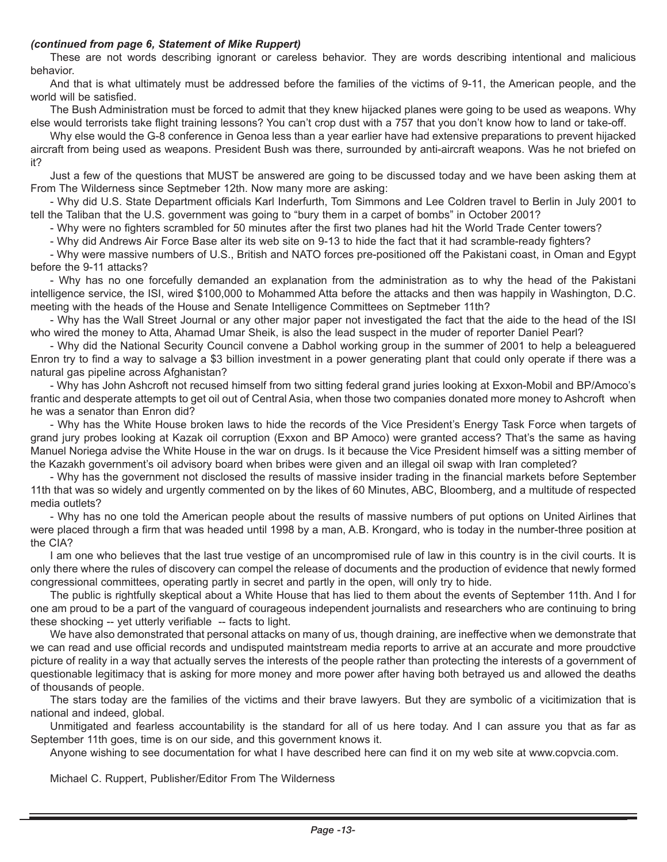#### *(continued from page 6, Statement of Mike Ruppert)*

These are not words describing ignorant or careless behavior. They are words describing intentional and malicious behavior.

And that is what ultimately must be addressed before the families of the victims of 9-11, the American people, and the world will be satisfied.

The Bush Administration must be forced to admit that they knew hijacked planes were going to be used as weapons. Why else would terrorists take flight training lessons? You can't crop dust with a 757 that you don't know how to land or take-off.

Why else would the G-8 conference in Genoa less than a year earlier have had extensive preparations to prevent hijacked aircraft from being used as weapons. President Bush was there, surrounded by anti-aircraft weapons. Was he not briefed on it?

Just a few of the questions that MUST be answered are going to be discussed today and we have been asking them at From The Wilderness since Septmeber 12th. Now many more are asking:

- Why did U.S. State Department officials Karl Inderfurth, Tom Simmons and Lee Coldren travel to Berlin in July 2001 to tell the Taliban that the U.S. government was going to "bury them in a carpet of bombs" in October 2001?

- Why were no fighters scrambled for 50 minutes after the first two planes had hit the World Trade Center towers?

- Why did Andrews Air Force Base alter its web site on 9-13 to hide the fact that it had scramble-ready fighters?

- Why were massive numbers of U.S., British and NATO forces pre-positioned off the Pakistani coast, in Oman and Egypt before the 9-11 attacks?

- Why has no one forcefully demanded an explanation from the administration as to why the head of the Pakistani intelligence service, the ISI, wired \$100,000 to Mohammed Atta before the attacks and then was happily in Washington, D.C. meeting with the heads of the House and Senate Intelligence Committees on Septmeber 11th?

- Why has the Wall Street Journal or any other major paper not investigated the fact that the aide to the head of the ISI who wired the money to Atta, Ahamad Umar Sheik, is also the lead suspect in the muder of reporter Daniel Pearl?

- Why did the National Security Council convene a Dabhol working group in the summer of 2001 to help a beleaguered Enron try to find a way to salvage a \$3 billion investment in a power generating plant that could only operate if there was a natural gas pipeline across Afghanistan?

- Why has John Ashcroft not recused himself from two sitting federal grand juries looking at Exxon-Mobil and BP/Amoco's frantic and desperate attempts to get oil out of Central Asia, when those two companies donated more money to Ashcroft when he was a senator than Enron did?

- Why has the White House broken laws to hide the records of the Vice President's Energy Task Force when targets of grand jury probes looking at Kazak oil corruption (Exxon and BP Amoco) were granted access? That's the same as having Manuel Noriega advise the White House in the war on drugs. Is it because the Vice President himself was a sitting member of the Kazakh government's oil advisory board when bribes were given and an illegal oil swap with Iran completed?

- Why has the government not disclosed the results of massive insider trading in the financial markets before September 11th that was so widely and urgently commented on by the likes of 60 Minutes, ABC, Bloomberg, and a multitude of respected media outlets?

- Why has no one told the American people about the results of massive numbers of put options on United Airlines that were placed through a firm that was headed until 1998 by a man, A.B. Krongard, who is today in the number-three position at the CIA?

I am one who believes that the last true vestige of an uncompromised rule of law in this country is in the civil courts. It is only there where the rules of discovery can compel the release of documents and the production of evidence that newly formed congressional committees, operating partly in secret and partly in the open, will only try to hide.

The public is rightfully skeptical about a White House that has lied to them about the events of September 11th. And I for one am proud to be a part of the vanguard of courageous independent journalists and researchers who are continuing to bring these shocking -- yet utterly verifiable -- facts to light.

We have also demonstrated that personal attacks on many of us, though draining, are ineffective when we demonstrate that we can read and use official records and undisputed maintstream media reports to arrive at an accurate and more proudctive picture of reality in a way that actually serves the interests of the people rather than protecting the interests of a government of questionable legitimacy that is asking for more money and more power after having both betrayed us and allowed the deaths of thousands of people.

The stars today are the families of the victims and their brave lawyers. But they are symbolic of a vicitimization that is national and indeed, global.

Unmitigated and fearless accountability is the standard for all of us here today. And I can assure you that as far as September 11th goes, time is on our side, and this government knows it.

Anyone wishing to see documentation for what I have described here can find it on my web site at [www.copvcia.com](http://www.copvcia.com).

Michael C. Ruppert, Publisher/Editor From The Wilderness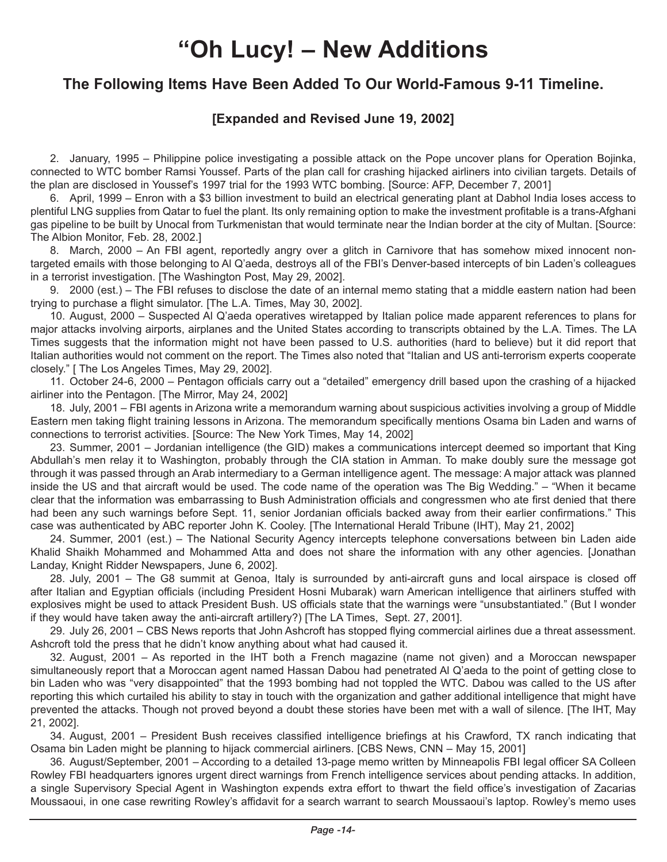## **"Oh Lucy! – New Additions**

### **The Following Items Have Been Added To Our World-Famous 9-11 Timeline.**

### **[Expanded and Revised June 19, 2002]**

2. January, 1995 – Philippine police investigating a possible attack on the Pope uncover plans for Operation Bojinka, connected to WTC bomber Ramsi Youssef. Parts of the plan call for crashing hijacked airliners into civilian targets. Details of the plan are disclosed in Youssef's 1997 trial for the 1993 WTC bombing. [Source: AFP, December 7, 2001]

6. April, 1999 – Enron with a \$3 billion investment to build an electrical generating plant at Dabhol India loses access to plentiful LNG supplies from Qatar to fuel the plant. Its only remaining option to make the investment profitable is a trans-Afghani gas pipeline to be built by Unocal from Turkmenistan that would terminate near the Indian border at the city of Multan. [Source: The Albion Monitor, Feb. 28, 2002.]

8. March, 2000 – An FBI agent, reportedly angry over a glitch in Carnivore that has somehow mixed innocent nontargeted emails with those belonging to Al Q'aeda, destroys all of the FBI's Denver-based intercepts of bin Laden's colleagues in a terrorist investigation. [The Washington Post, May 29, 2002].

9. 2000 (est.) – The FBI refuses to disclose the date of an internal memo stating that a middle eastern nation had been trying to purchase a flight simulator. [The L.A. Times, May 30, 2002].

10. August, 2000 – Suspected Al Q'aeda operatives wiretapped by Italian police made apparent references to plans for major attacks involving airports, airplanes and the United States according to transcripts obtained by the L.A. Times. The LA Times suggests that the information might not have been passed to U.S. authorities (hard to believe) but it did report that Italian authorities would not comment on the report. The Times also noted that "Italian and US anti-terrorism experts cooperate closely." [ The Los Angeles Times, May 29, 2002].

11. October 24-6, 2000 – Pentagon officials carry out a "detailed" emergency drill based upon the crashing of a hijacked airliner into the Pentagon. [The Mirror, May 24, 2002]

18. July, 2001 – FBI agents in Arizona write a memorandum warning about suspicious activities involving a group of Middle Eastern men taking flight training lessons in Arizona. The memorandum specifically mentions Osama bin Laden and warns of connections to terrorist activities. [Source: The New York Times, May 14, 2002]

23. Summer, 2001 – Jordanian intelligence (the GID) makes a communications intercept deemed so important that King Abdullah's men relay it to Washington, probably through the CIA station in Amman. To make doubly sure the message got through it was passed through an Arab intermediary to a German intelligence agent. The message: A major attack was planned inside the US and that aircraft would be used. The code name of the operation was The Big Wedding." – "When it became clear that the information was embarrassing to Bush Administration officials and congressmen who ate first denied that there had been any such warnings before Sept. 11, senior Jordanian officials backed away from their earlier confirmations." This case was authenticated by ABC reporter John K. Cooley. [The International Herald Tribune (IHT), May 21, 2002]

24. Summer, 2001 (est.) – The National Security Agency intercepts telephone conversations between bin Laden aide Khalid Shaikh Mohammed and Mohammed Atta and does not share the information with any other agencies. [Jonathan Landay, Knight Ridder Newspapers, June 6, 2002].

28. July, 2001 – The G8 summit at Genoa, Italy is surrounded by anti-aircraft guns and local airspace is closed off after Italian and Egyptian officials (including President Hosni Mubarak) warn American intelligence that airliners stuffed with explosives might be used to attack President Bush. US officials state that the warnings were "unsubstantiated." (But I wonder if they would have taken away the anti-aircraft artillery?) [The LA Times, Sept. 27, 2001].

29. July 26, 2001 – CBS News reports that John Ashcroft has stopped flying commercial airlines due a threat assessment. Ashcroft told the press that he didn't know anything about what had caused it.

32. August, 2001 – As reported in the IHT both a French magazine (name not given) and a Moroccan newspaper simultaneously report that a Moroccan agent named Hassan Dabou had penetrated Al Q'aeda to the point of getting close to bin Laden who was "very disappointed" that the 1993 bombing had not toppled the WTC. Dabou was called to the US after reporting this which curtailed his ability to stay in touch with the organization and gather additional intelligence that might have prevented the attacks. Though not proved beyond a doubt these stories have been met with a wall of silence. [The IHT, May 21, 2002].

34. August, 2001 – President Bush receives classified intelligence briefings at his Crawford, TX ranch indicating that Osama bin Laden might be planning to hijack commercial airliners. [CBS News, CNN – May 15, 2001]

36. August/September, 2001 – According to a detailed 13-page memo written by Minneapolis FBI legal officer SA Colleen Rowley FBI headquarters ignores urgent direct warnings from French intelligence services about pending attacks. In addition, a single Supervisory Special Agent in Washington expends extra effort to thwart the field office's investigation of Zacarias Moussaoui, in one case rewriting Rowley's affidavit for a search warrant to search Moussaoui's laptop. Rowley's memo uses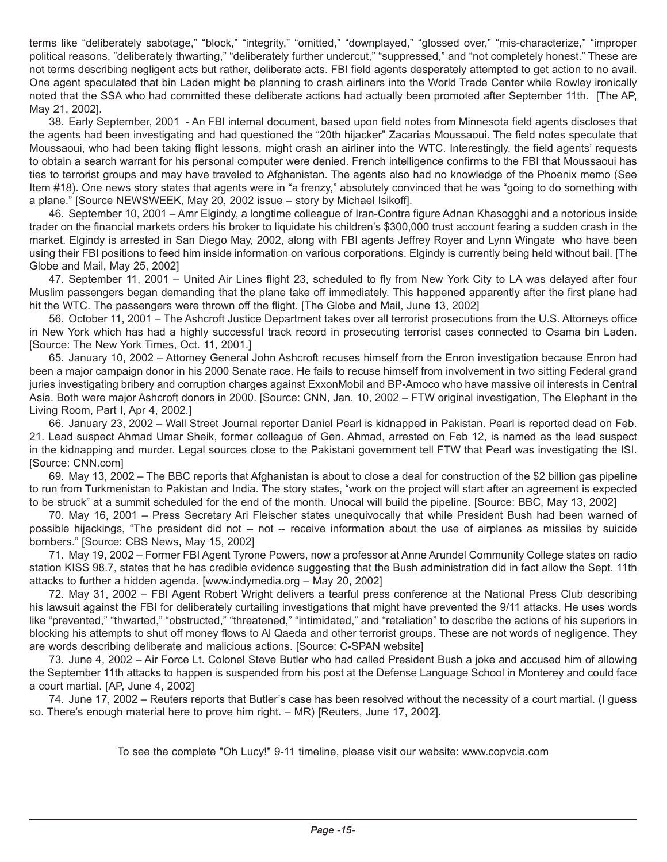terms like "deliberately sabotage," "block," "integrity," "omitted," "downplayed," "glossed over," "mis-characterize," "improper political reasons, "deliberately thwarting," "deliberately further undercut," "suppressed," and "not completely honest." These are not terms describing negligent acts but rather, deliberate acts. FBI field agents desperately attempted to get action to no avail. One agent speculated that bin Laden might be planning to crash airliners into the World Trade Center while Rowley ironically noted that the SSA who had committed these deliberate actions had actually been promoted after September 11th. [The AP, May 21, 2002].

38. Early September, 2001 - An FBI internal document, based upon field notes from Minnesota field agents discloses that the agents had been investigating and had questioned the "20th hijacker" Zacarias Moussaoui. The field notes speculate that Moussaoui, who had been taking flight lessons, might crash an airliner into the WTC. Interestingly, the field agents' requests to obtain a search warrant for his personal computer were denied. French intelligence confirms to the FBI that Moussaoui has ties to terrorist groups and may have traveled to Afghanistan. The agents also had no knowledge of the Phoenix memo (See Item #18). One news story states that agents were in "a frenzy," absolutely convinced that he was "going to do something with a plane." [Source NEWSWEEK, May 20, 2002 issue – story by Michael Isikoff].

46. September 10, 2001 – Amr Elgindy, a longtime colleague of Iran-Contra figure Adnan Khasogghi and a notorious inside trader on the financial markets orders his broker to liquidate his children's \$300,000 trust account fearing a sudden crash in the market. Elgindy is arrested in San Diego May, 2002, along with FBI agents Jeffrey Royer and Lynn Wingate who have been using their FBI positions to feed him inside information on various corporations. Elgindy is currently being held without bail. [The Globe and Mail, May 25, 2002]

47. September 11, 2001 – United Air Lines flight 23, scheduled to fly from New York City to LA was delayed after four Muslim passengers began demanding that the plane take off immediately. This happened apparently after the first plane had hit the WTC. The passengers were thrown off the flight. [The Globe and Mail, June 13, 2002]

56. October 11, 2001 – The Ashcroft Justice Department takes over all terrorist prosecutions from the U.S. Attorneys office in New York which has had a highly successful track record in prosecuting terrorist cases connected to Osama bin Laden. [Source: The New York Times, Oct. 11, 2001.]

65. January 10, 2002 – Attorney General John Ashcroft recuses himself from the Enron investigation because Enron had been a major campaign donor in his 2000 Senate race. He fails to recuse himself from involvement in two sitting Federal grand juries investigating bribery and corruption charges against ExxonMobil and BP-Amoco who have massive oil interests in Central Asia. Both were major Ashcroft donors in 2000. [Source: CNN, Jan. 10, 2002 – FTW original investigation, The Elephant in the Living Room, Part I, Apr 4, 2002.]

66. January 23, 2002 – Wall Street Journal reporter Daniel Pearl is kidnapped in Pakistan. Pearl is reported dead on Feb. 21. Lead suspect Ahmad Umar Sheik, former colleague of Gen. Ahmad, arrested on Feb 12, is named as the lead suspect in the kidnapping and murder. Legal sources close to the Pakistani government tell FTW that Pearl was investigating the ISI. [Source: CNN.com]

69. May 13, 2002 – The BBC reports that Afghanistan is about to close a deal for construction of the \$2 billion gas pipeline to run from Turkmenistan to Pakistan and India. The story states, "work on the project will start after an agreement is expected to be struck" at a summit scheduled for the end of the month. Unocal will build the pipeline. [Source: BBC, May 13, 2002]

70. May 16, 2001 – Press Secretary Ari Fleischer states unequivocally that while President Bush had been warned of possible hijackings, "The president did not -- not -- receive information about the use of airplanes as missiles by suicide bombers." [Source: CBS News, May 15, 2002]

71. May 19, 2002 – Former FBI Agent Tyrone Powers, now a professor at Anne Arundel Community College states on radio station KISS 98.7, states that he has credible evidence suggesting that the Bush administration did in fact allow the Sept. 11th attacks to further a hidden agenda. [\[www.indymedia.org](http://www.indymedia.org) – May 20, 2002]

72. May 31, 2002 – FBI Agent Robert Wright delivers a tearful press conference at the National Press Club describing his lawsuit against the FBI for deliberately curtailing investigations that might have prevented the 9/11 attacks. He uses words like "prevented," "thwarted," "obstructed," "threatened," "intimidated," and "retaliation" to describe the actions of his superiors in blocking his attempts to shut off money flows to Al Qaeda and other terrorist groups. These are not words of negligence. They are words describing deliberate and malicious actions. [Source: C-SPAN website]

73. June 4, 2002 – Air Force Lt. Colonel Steve Butler who had called President Bush a joke and accused him of allowing the September 11th attacks to happen is suspended from his post at the Defense Language School in Monterey and could face a court martial. [AP, June 4, 2002]

74. June 17, 2002 – Reuters reports that Butler's case has been resolved without the necessity of a court martial. (I guess so. There's enough material here to prove him right. – MR) [Reuters, June 17, 2002].

To see the complete "Oh Lucy!" 9-11 timeline, please visit our website: [www.copvcia.com](http://www.copvcia.com)